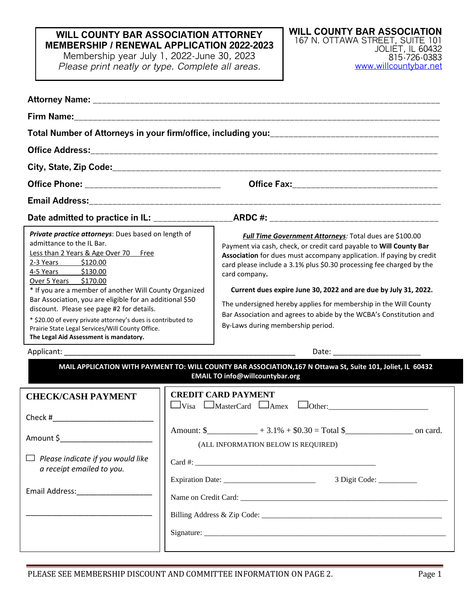## **WILL COUNTY BAR ASSOCIATION ATTORNEY MEMBERSHIP / RENEWAL APPLICATION 2022-2023**

Membership year July 1, 2022-June 30, 2023 *Please print neatly or type. Complete all areas.*

| Private practice attorneys: Dues based on length of<br>admittance to the IL Bar.<br>Less than 2 Years & Age Over 70 Free<br>2-3 Years \$120.00<br>4-5 Years \$130.00<br>Over 5 Years \$170.00<br>* If you are a member of another Will County Organized<br>Bar Association, you are eligible for an additional \$50<br>discount. Please see page #2 for details.<br>* \$20.00 of every private attorney's dues is contributed to<br>Prairie State Legal Services/Will County Office.<br>The Legal Aid Assessment is mandatory. |  | <b>Full Time Government Attorneys: Total dues are \$100.00</b><br>Payment via cash, check, or credit card payable to Will County Bar<br>Association for dues must accompany application. If paying by credit<br>card please include a 3.1% plus \$0.30 processing fee charged by the<br>card company.<br>Current dues expire June 30, 2022 and are due by July 31, 2022.<br>The undersigned hereby applies for membership in the Will County<br>Bar Association and agrees to abide by the WCBA's Constitution and<br>By-Laws during membership period. |  |
|--------------------------------------------------------------------------------------------------------------------------------------------------------------------------------------------------------------------------------------------------------------------------------------------------------------------------------------------------------------------------------------------------------------------------------------------------------------------------------------------------------------------------------|--|---------------------------------------------------------------------------------------------------------------------------------------------------------------------------------------------------------------------------------------------------------------------------------------------------------------------------------------------------------------------------------------------------------------------------------------------------------------------------------------------------------------------------------------------------------|--|
| Applicant: National Applicant Contract Contract Contract Contract Contract Contract Contract Contract Contract Contract Contract Contract Contract Contract Contract Contract Contract Contract Contract Contract Contract Con                                                                                                                                                                                                                                                                                                 |  | Date: the control of the control of the control of the control of the control of the control of the control of the control of the control of the control of the control of the control of the control of the control of the co                                                                                                                                                                                                                                                                                                                          |  |
|                                                                                                                                                                                                                                                                                                                                                                                                                                                                                                                                |  | MAIL APPLICATION WITH PAYMENT TO: WILL COUNTY BAR ASSOCIATION, 167 N Ottawa St, Suite 101, Joliet, IL 60432<br><b>EMAIL TO info@willcountybar.org</b>                                                                                                                                                                                                                                                                                                                                                                                                   |  |
| <b>CHECK/CASH PAYMENT</b><br>Amount \$____________________<br>$\Box$ Please indicate if you would like<br>a receipt emailed to you.<br>Email Address: National Address:                                                                                                                                                                                                                                                                                                                                                        |  | <b>CREDIT CARD PAYMENT</b><br>$\Box$ Visa $\Box$ MasterCard $\Box$ Amex $\Box$ Other:<br>Amount: $\frac{\sqrt{9}}{2}$ + 3.1% + $\frac{\sqrt{9}}{2}$ = Total $\frac{\sqrt{9}}{2}$ on card.<br>(ALL INFORMATION BELOW IS REQUIRED)<br>3 Digit Code:                                                                                                                                                                                                                                                                                                       |  |